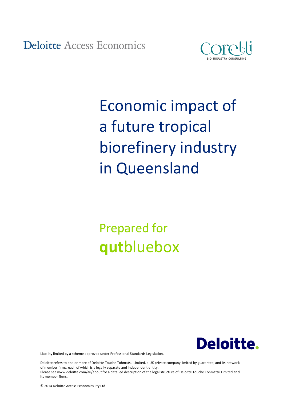**Deloitte Access Economics** 



# Economic impact of a future tropical biorefinery industry in Queensland

# Prepared for **qut**bluebox



Liability limited by a scheme approved under Professional Standards Legislation.

Deloitte refers to one or more of Deloitte Touche Tohmatsu Limited, a UK private company limited by guarantee, and its network of member firms, each of which is a legally separate and independent entity. Please see www.deloitte.com/au/about for a detailed description of the legal structure of Deloitte Touche Tohmatsu Limited and its member firms.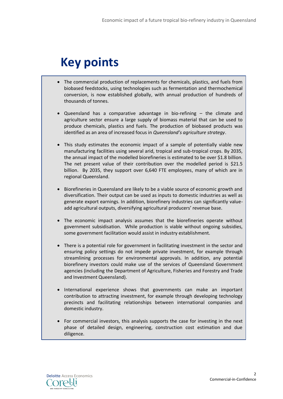## **Key points**

- The commercial production of replacements for chemicals, plastics, and fuels from biobased feedstocks, using technologies such as fermentation and thermochemical conversion, is now established globally, with annual production of hundreds of thousands of tonnes.
- Queensland has a comparative advantage in bio-refining the climate and agriculture sector ensure a large supply of biomass material that can be used to produce chemicals, plastics and fuels. The production of biobased products was identified as an area of increased focus in *Queensland's agriculture strategy*.
- This study estimates the economic impact of a sample of potentially viable new manufacturing facilities using several arid, tropical and sub-tropical crops. By 2035, the annual impact of the modelled biorefineries is estimated to be over \$1.8 billion. The net present value of their contribution over the modelled period is \$21.5 billion. By 2035, they support over 6,640 FTE employees, many of which are in regional Queensland.
- **BIORIOF 1** Biorefineries in Queensland are likely to be a viable source of economic growth and diversification. Their output can be used as inputs to domestic industries as well as generate export earnings. In addition, biorefinery industries can significantly valueadd agricultural outputs, diversifying agricultural producers' revenue base.
- The economic impact analysis assumes that the biorefineries operate without government subsidisation. While production is viable without ongoing subsidies, some government facilitation would assist in industry establishment.
- There is a potential role for government in facilitating investment in the sector and ensuring policy settings do not impede private investment, for example through streamlining processes for environmental approvals. In addition, any potential biorefinery investors could make use of the services of Queensland Government agencies (including the Department of Agriculture, Fisheries and Forestry and Trade and Investment Queensland).
- International experience shows that governments can make an important contribution to attracting investment, for example through developing technology precincts and facilitating relationships between international companies and domestic industry.
- For commercial investors, this analysis supports the case for investing in the next phase of detailed design, engineering, construction cost estimation and due diligence.

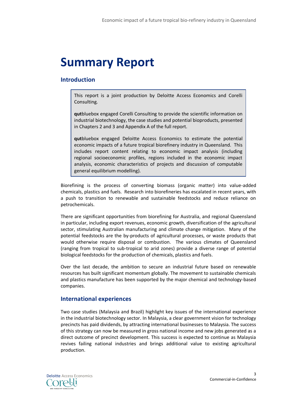## **Summary Report**

#### **Introduction**

This report is a joint production by Deloitte Access Economics and Corelli Consulting.

**qut**bluebox engaged Corelli Consulting to provide the scientific information on industrial biotechnology, the case studies and potential bioproducts, presented in Chapters 2 and 3 and Appendix A of the full report.

**qut**bluebox engaged Deloitte Access Economics to estimate the potential economic impacts of a future tropical biorefinery industry in Queensland. This includes report content relating to economic impact analysis (including regional socioeconomic profiles, regions included in the economic impact analysis, economic characteristics of projects and discussion of computable general equilibrium modelling).

Biorefining is the process of converting biomass (organic matter) into value-added chemicals, plastics and fuels. Research into biorefineries has escalated in recent years, with a push to transition to renewable and sustainable feedstocks and reduce reliance on petrochemicals.

There are significant opportunities from biorefining for Australia, and regional Queensland in particular, including export revenues, economic growth, diversification of the agricultural sector, stimulating Australian manufacturing and climate change mitigation. Many of the potential feedstocks are the by-products of agricultural processes, or waste products that would otherwise require disposal or combustion. The various climates of Queensland (ranging from tropical to sub-tropical to arid zones) provide a diverse range of potential biological feedstocks for the production of chemicals, plastics and fuels.

Over the last decade, the ambition to secure an industrial future based on renewable resources has built significant momentum globally. The movement to sustainable chemicals and plastics manufacture has been supported by the major chemical and technology-based companies.

#### **International experiences**

Two case studies (Malaysia and Brazil) highlight key issues of the international experience in the industrial biotechnology sector. In Malaysia, a clear government vision for technology precincts has paid dividends, by attracting international businesses to Malaysia. The success of this strategy can now be measured in gross national income and new jobs generated as a direct outcome of precinct development. This success is expected to continue as Malaysia revives failing national industries and brings additional value to existing agricultural production.

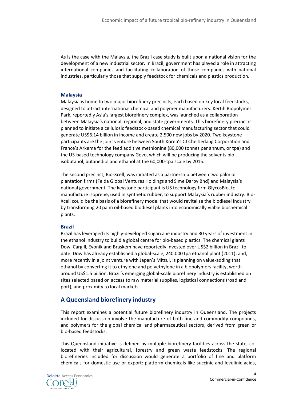As is the case with the Malaysia, the Brazil case study is built upon a national vision for the development of a new industrial sector. In Brazil, government has played a role in attracting international companies and facilitating collaboration of those companies with national industries, particularly those that supply feedstock for chemicals and plastics production.

#### **Malaysia**

Malaysia is home to two major biorefinery precincts, each based on key local feedstocks, designed to attract international chemical and polymer manufacturers. Kertih Biopolymer Park, reportedly Asia's largest biorefinery complex, was launched as a collaboration between Malaysia's national, regional, and state governments. This biorefinery precinct is planned to initiate a cellulosic feedstock-based chemical manufacturing sector that could generate US\$6.14 billion in income and create 2,500 new jobs by 2020. Two keystone participants are the joint venture between South Korea's CJ CheilJedang Corporation and France's Arkema for the feed additive methionine (80,000 tonnes per annum, or tpa) and the US-based technology company Gevo, which will be producing the solvents bioisobutanol, butanediol and ethanol at the 60,000-tpa scale by 2015.

The second precinct, Bio-Xcell, was initiated as a partnership between two palm oil plantation firms (Felda Global Ventures Holdings and Sime Darby Bhd) and Malaysia's national government. The keystone participant is US technology firm GlycosBio, to manufacture isoprene, used in synthetic rubber, to support Malaysia's rubber industry. Bio-Xcell could be the basis of a biorefinery model that would revitalise the biodiesel industry by transforming 20 palm oil-based biodiesel plants into economically viable biochemical plants.

#### **Brazil**

Brazil has leveraged its highly-developed sugarcane industry and 30 years of investment in the ethanol industry to build a global centre for bio-based plastics. The chemical giants Dow, Cargill, Evonik and Braskem have reportedly invested over US\$2 billion in Brazil to date. Dow has already established a global-scale, 240,000 tpa ethanol plant (2011), and, more recently in a joint venture with Japan's Mitsui, is planning on value-adding that ethanol by converting it to ethylene and polyethylene in a biopolymers facility, worth around US\$1.5 billion. Brazil's emerging global-scale biorefinery industry is established on sites selected based on access to raw material supplies, logistical connections (road and port), and proximity to local markets.

#### **A Queensland biorefinery industry**

This report examines a potential future biorefinery industry in Queensland. The projects included for discussion involve the manufacture of both fine and commodity compounds, and polymers for the global chemical and pharmaceutical sectors, derived from green or bio-based feedstocks.

This Queensland initiative is defined by multiple biorefinery facilities across the state, colocated with their agricultural, forestry and green waste feedstocks. The regional biorefineries included for discussion would generate a portfolio of fine and platform chemicals for domestic use or export: platform chemicals like succinic and levulinic acids,

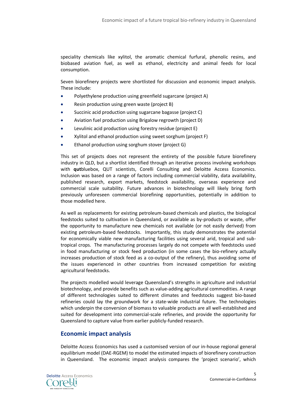speciality chemicals like xylitol, the aromatic chemical furfural, phenolic resins, and biobased aviation fuel, as well as ethanol, electricity and animal feeds for local consumption.

Seven biorefinery projects were shortlisted for discussion and economic impact analysis. These include:

- Polyethylene production using greenfield sugarcane (project A)
- Resin production using green waste (project B)
- Succinic acid production using sugarcane bagasse (project C)
- Aviation fuel production using Brigalow regrowth (project D)
- Levulinic acid production using forestry residue (project E)
- Xylitol and ethanol production using sweet sorghum (project F)
- Ethanol production using sorghum stover (project G)

This set of projects does not represent the entirety of the possible future biorefinery industry in QLD, but a shortlist identified through an iterative process involving workshops with **qut**bluebox, QUT scientists, Corelli Consulting and Deloitte Access Economics. Inclusion was based on a range of factors including commercial viability, data availability, published research, export markets, feedstock availability, overseas experience and commercial scale suitability. Future advances in biotechnology will likely bring forth previously unforeseen commercial biorefining opportunities, potentially in addition to those modelled here.

As well as replacements for existing petroleum-based chemicals and plastics, the biological feedstocks suited to cultivation in Queensland, or available as by-products or waste, offer the opportunity to manufacture new chemicals not available (or not easily derived) from existing petroleum-based feedstocks. Importantly, this study demonstrates the potential for economically viable new manufacturing facilities using several arid, tropical and subtropical crops. The manufacturing processes largely do not compete with feedstocks used in food manufacturing or stock feed production (in some cases the bio-refinery actually increases production of stock feed as a co-output of the refinery), thus avoiding some of the issues experienced in other countries from increased competition for existing agricultural feedstocks.

The projects modelled would leverage Queensland's strengths in agriculture and industrial biotechnology, and provide benefits such as value-adding agricultural commodities. A range of different technologies suited to different climates and feedstocks suggest bio-based refineries could lay the groundwork for a state-wide industrial future. The technologies which underpin the conversion of biomass to valuable products are all well-established and suited for development into commercial-scale refineries, and provide the opportunity for Queensland to capture value from earlier publicly-funded research.

#### **Economic impact analysis**

Deloitte Access Economics has used a customised version of our in-house regional general equilibrium model (DAE-RGEM) to model the estimated impacts of biorefinery construction in Queensland. The economic impact analysis compares the 'project scenario', which

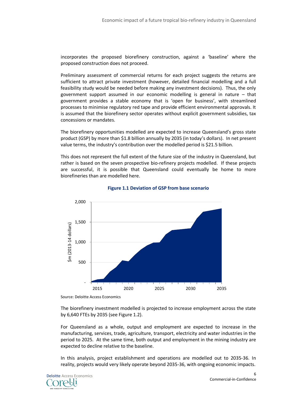incorporates the proposed biorefinery construction, against a 'baseline' where the proposed construction does not proceed.

Preliminary assessment of commercial returns for each project suggests the returns are sufficient to attract private investment (however, detailed financial modelling and a full feasibility study would be needed before making any investment decisions). Thus, the only government support assumed in our economic modelling is general in nature – that government provides a stable economy that is 'open for business', with streamlined processes to minimise regulatory red tape and provide efficient environmental approvals. It is assumed that the biorefinery sector operates without explicit government subsidies, tax concessions or mandates.

The biorefinery opportunities modelled are expected to increase Queensland's gross state product (GSP) by more than \$1.8 billion annually by 2035 (in today's dollars). In net present value terms, the industry's contribution over the modelled period is \$21.5 billion.

This does not represent the full extent of the future size of the industry in Queensland, but rather is based on the seven prospective bio-refinery projects modelled. If these projects are successful, it is possible that Queensland could eventually be home to more biorefineries than are modelled here.



#### **Figure 1.1 Deviation of GSP from base scenario**

Source: Deloitte Access Economics

The biorefinery investment modelled is projected to increase employment across the state by 6,640 FTEs by 2035 (see Figure 1.2).

For Queensland as a whole, output and employment are expected to increase in the manufacturing, services, trade, agriculture, transport, electricity and water industries in the period to 2025. At the same time, both output and employment in the mining industry are expected to decline relative to the baseline.

In this analysis, project establishment and operations are modelled out to 2035-36. In reality, projects would very likely operate beyond 2035-36, with ongoing economic impacts.

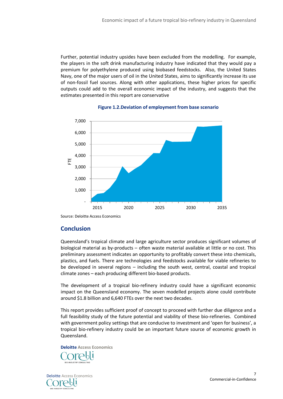Further, potential industry upsides have been excluded from the modelling. For example, the players in the soft drink manufacturing industry have indicated that they would pay a premium for polyethylene produced using biobased feedstocks. Also, the United States Navy, one of the major users of oil in the United States, aims to significantly increase its use of non-fossil fuel sources. Along with other applications, these higher prices for specific outputs could add to the overall economic impact of the industry, and suggests that the estimates presented in this report are conservative



#### **Figure 1.2.Deviation of employment from base scenario**

Source: Deloitte Access Economics

#### **Conclusion**

Queensland's tropical climate and large agriculture sector produces significant volumes of biological material as by-products – often waste material available at little or no cost. This preliminary assessment indicates an opportunity to profitably convert these into chemicals, plastics, and fuels. There are technologies and feedstocks available for viable refineries to be developed in several regions – including the south west, central, coastal and tropical climate zones – each producing different bio-based products.

The development of a tropical bio-refinery industry could have a significant economic impact on the Queensland economy. The seven modelled projects alone could contribute around \$1.8 billion and 6,640 FTEs over the next two decades.

This report provides sufficient proof of concept to proceed with further due diligence and a full feasibility study of the future potential and viability of these bio-refineries. Combined with government policy settings that are conducive to investment and 'open for business', a tropical bio-refinery industry could be an important future source of economic growth in Queensland.

**Deloitte Access Economics**

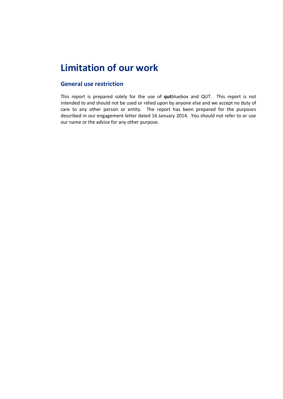### **Limitation of our work**

#### **General use restriction**

This report is prepared solely for the use of **qut**bluebox and QUT. This report is not intended to and should not be used or relied upon by anyone else and we accept no duty of care to any other person or entity. The report has been prepared for the purposes described in our engagement letter dated 16 January 2014. You should not refer to or use our name or the advice for any other purpose.